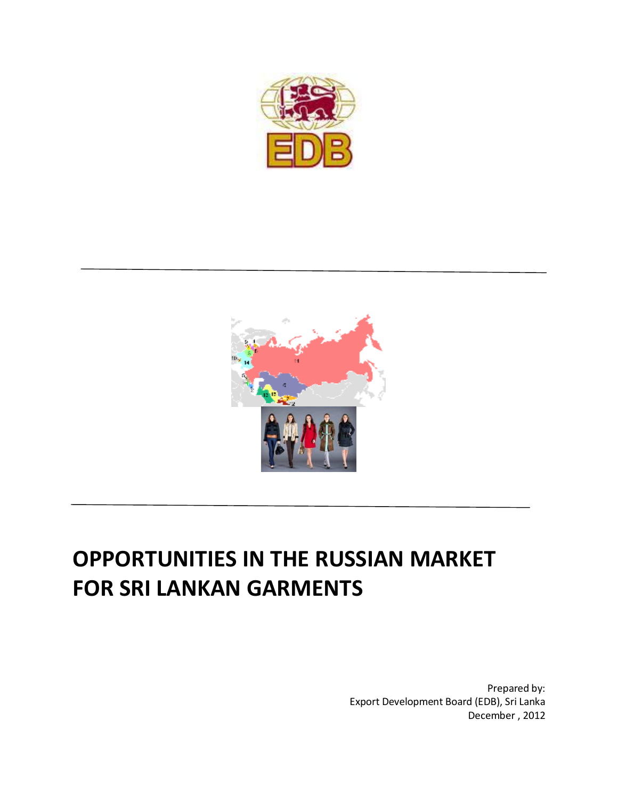



# **OPPORTUNITIES IN THE RUSSIAN MARKET FOR SRI LANKAN GARMENTS**

Prepared by: Export Development Board (EDB), Sri Lanka December , 2012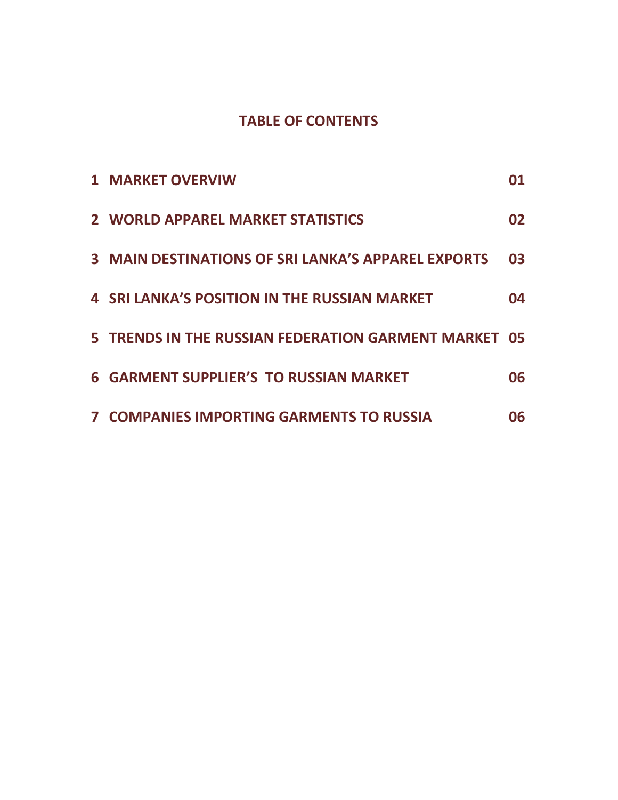# **TABLE OF CONTENTS**

| <b>1 MARKET OVERVIW</b>                                   |    |
|-----------------------------------------------------------|----|
| 2 WORLD APPAREL MARKET STATISTICS                         | 02 |
| <b>3 MAIN DESTINATIONS OF SRI LANKA'S APPAREL EXPORTS</b> | 03 |
| <b>4 SRI LANKA'S POSITION IN THE RUSSIAN MARKET</b>       | 04 |
| 5 TRENDS IN THE RUSSIAN FEDERATION GARMENT MARKET 05      |    |
| <b>6 GARMENT SUPPLIER'S TO RUSSIAN MARKET</b>             | 06 |
| <b>7 COMPANIES IMPORTING GARMENTS TO RUSSIA</b>           | 06 |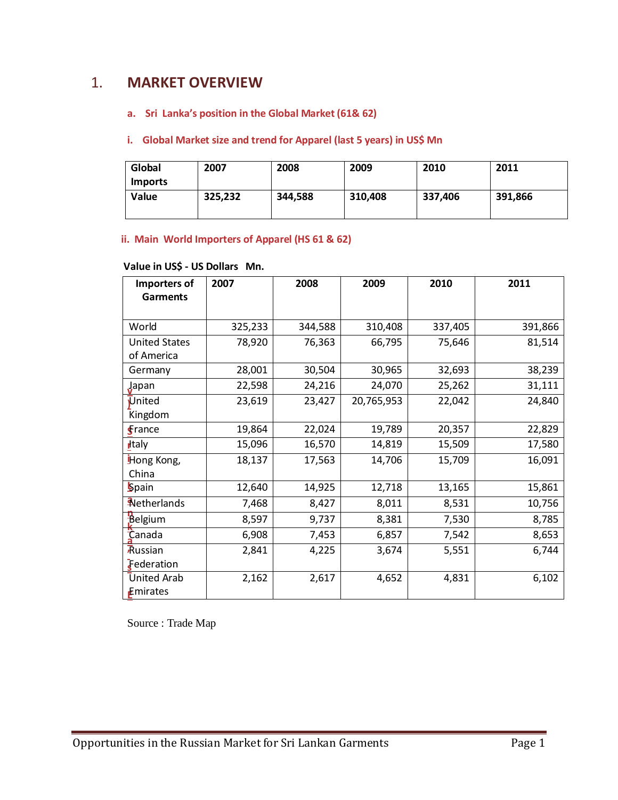# 1. **MARKET OVERVIEW**

# **a. Sri Lanka's position in the Global Market (61& 62)**

#### **i. Global Market size and trend for Apparel (last 5 years) in US\$ Mn**

| Global         | 2007    | 2008    | 2009    | 2010    | 2011    |
|----------------|---------|---------|---------|---------|---------|
| <b>Imports</b> |         |         |         |         |         |
| Value          | 325,232 | 344,588 | 310,408 | 337,406 | 391,866 |
|                |         |         |         |         |         |

# **ii. Main World Importers of Apparel (HS 61 & 62)**

## **Value in US\$ - US Dollars Mn.**

| Importers of         | 2007    | 2008    | 2009       | 2010    | 2011    |
|----------------------|---------|---------|------------|---------|---------|
| <b>Garments</b>      |         |         |            |         |         |
|                      |         |         |            |         |         |
| World                | 325,233 | 344,588 | 310,408    | 337,405 | 391,866 |
| <b>United States</b> | 78,920  | 76,363  | 66,795     | 75,646  | 81,514  |
| of America           |         |         |            |         |         |
| Germany              | 28,001  | 30,504  | 30,965     | 32,693  | 38,239  |
| Japan                | 22,598  | 24,216  | 24,070     | 25,262  | 31,111  |
| United               | 23,619  | 23,427  | 20,765,953 | 22,042  | 24,840  |
| Kingdom              |         |         |            |         |         |
| $\epsilon$ rance     | 19,864  | 22,024  | 19,789     | 20,357  | 22,829  |
| <b>H</b> taly        | 15,096  | 16,570  | 14,819     | 15,509  | 17,580  |
| Hong Kong,           | 18,137  | 17,563  | 14,706     | 15,709  | 16,091  |
| China                |         |         |            |         |         |
| <b>Spain</b>         | 12,640  | 14,925  | 12,718     | 13,165  | 15,861  |
| Aletherlands         | 7,468   | 8,427   | 8,011      | 8,531   | 10,756  |
| Belgium              | 8,597   | 9,737   | 8,381      | 7,530   | 8,785   |
| Canada               | 6,908   | 7,453   | 6,857      | 7,542   | 8,653   |
| Russian              | 2,841   | 4,225   | 3,674      | 5,551   | 6,744   |
| Federation           |         |         |            |         |         |
| <b>United Arab</b>   | 2,162   | 2,617   | 4,652      | 4,831   | 6,102   |
| Emirates             |         |         |            |         |         |

Source : Trade Map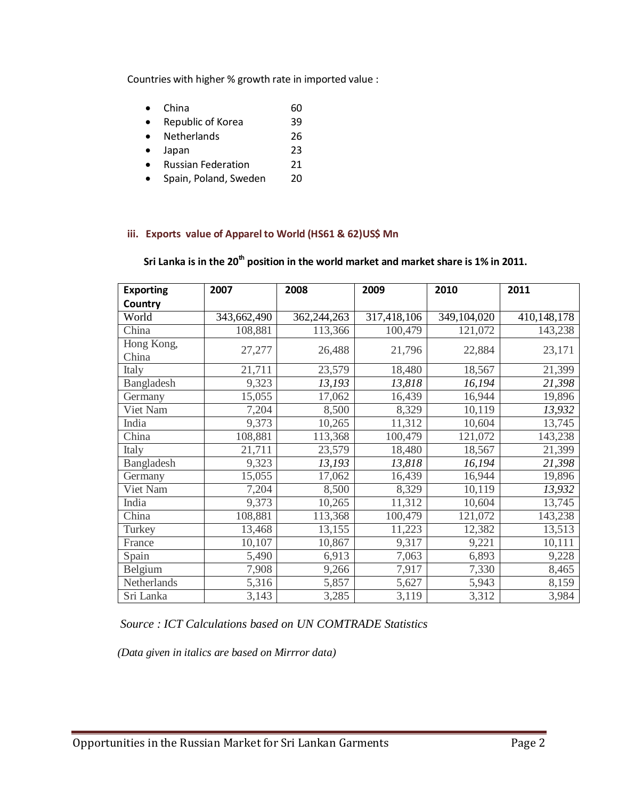Countries with higher % growth rate in imported value :

- China 60
- Republic of Korea 39
- Netherlands 26
- Japan 23
- Russian Federation 21
- Spain, Poland, Sweden 20

#### **iii. Exports value of Apparel to World (HS61 & 62)US\$ Mn**

# **Sri Lanka is in the 20th position in the world market and market share is 1% in 2011.**

| <b>Exporting</b>    | 2007        | 2008        | 2009        | 2010        | 2011        |
|---------------------|-------------|-------------|-------------|-------------|-------------|
| Country             |             |             |             |             |             |
| World               | 343,662,490 | 362,244,263 | 317,418,106 | 349,104,020 | 410,148,178 |
| China               | 108,881     | 113,366     | 100,479     | 121,072     | 143,238     |
| Hong Kong,<br>China | 27,277      | 26,488      | 21,796      | 22,884      | 23,171      |
| Italy               | 21,711      | 23,579      | 18,480      | 18,567      | 21,399      |
| Bangladesh          | 9,323       | 13,193      | 13,818      | 16,194      | 21,398      |
| Germany             | 15,055      | 17,062      | 16,439      | 16,944      | 19,896      |
| Viet Nam            | 7,204       | 8,500       | 8,329       | 10,119      | 13,932      |
| India               | 9,373       | 10,265      | 11,312      | 10,604      | 13,745      |
| China               | 108,881     | 113,368     | 100,479     | 121,072     | 143,238     |
| Italy               | 21,711      | 23,579      | 18,480      | 18,567      | 21,399      |
| Bangladesh          | 9,323       | 13,193      | 13,818      | 16,194      | 21,398      |
| Germany             | 15,055      | 17,062      | 16,439      | 16,944      | 19,896      |
| Viet Nam            | 7,204       | 8,500       | 8,329       | 10,119      | 13,932      |
| India               | 9,373       | 10,265      | 11,312      | 10,604      | 13,745      |
| China               | 108,881     | 113,368     | 100,479     | 121,072     | 143,238     |
| Turkey              | 13,468      | 13,155      | 11,223      | 12,382      | 13,513      |
| France              | 10,107      | 10,867      | 9,317       | 9,221       | 10,111      |
| Spain               | 5,490       | 6,913       | 7,063       | 6,893       | 9,228       |
| Belgium             | 7,908       | 9,266       | 7,917       | 7,330       | 8,465       |
| Netherlands         | 5,316       | 5,857       | 5,627       | 5,943       | 8,159       |
| Sri Lanka           | 3,143       | 3,285       | 3,119       | 3,312       | 3,984       |

# *Source : ICT Calculations based on UN COMTRADE Statistics*

 *(Data given in italics are based on Mirrror data)*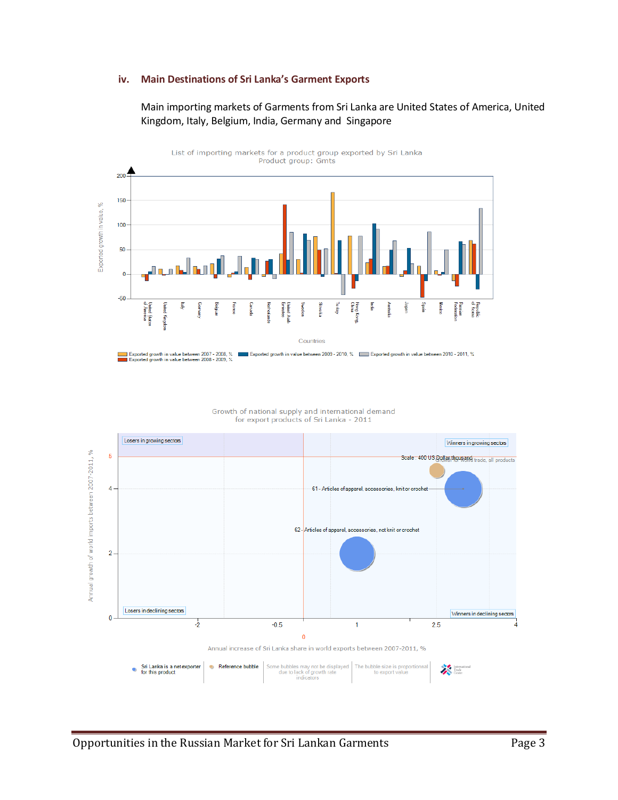#### **iv. Main Destinations of Sri Lanka's Garment Exports**

#### Main importing markets of Garments from Sri Lanka are United States of America, United Kingdom, Italy, Belgium, India, Germany and Singapore



Growth of national supply and international demand<br>for export products of Sri Lanka - 2011

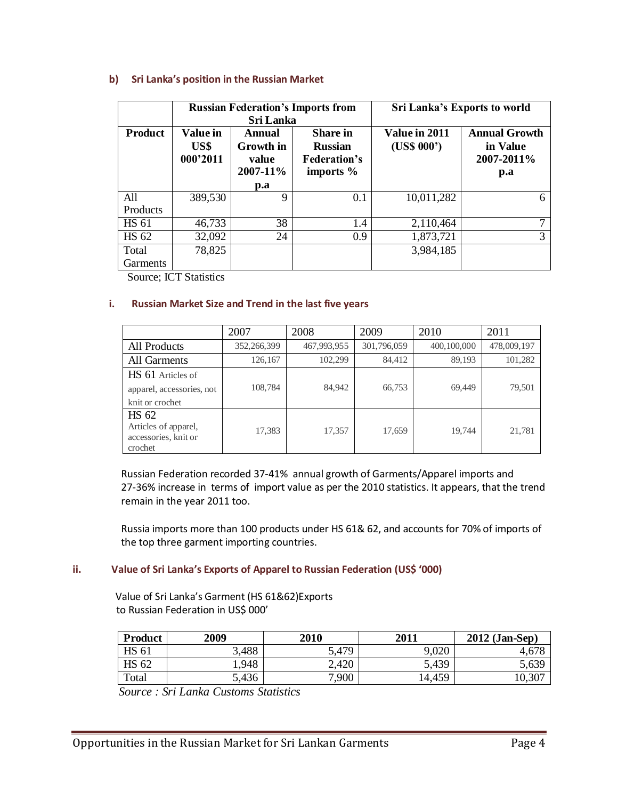#### **b) Sri Lanka's position in the Russian Market**

|                 | <b>Russian Federation's Imports from</b><br><b>Sri Lanka</b> |                                          |                                                                         | Sri Lanka's Exports to world |                                                       |  |
|-----------------|--------------------------------------------------------------|------------------------------------------|-------------------------------------------------------------------------|------------------------------|-------------------------------------------------------|--|
| <b>Product</b>  | Value in<br>US\$<br>000'2011                                 | Annual<br>Growth in<br>value<br>2007-11% | <b>Share</b> in<br><b>Russian</b><br><b>Federation's</b><br>imports $%$ | Value in 2011<br>(US\$ 000') | <b>Annual Growth</b><br>in Value<br>2007-2011%<br>p.a |  |
|                 |                                                              | $\mathbf{p}.\mathbf{a}$                  |                                                                         |                              |                                                       |  |
| All             | 389,530                                                      | 9                                        | 0.1                                                                     | 10,011,282                   | 6                                                     |  |
| Products        |                                                              |                                          |                                                                         |                              |                                                       |  |
| <b>HS 61</b>    | 46,733                                                       | 38                                       | 1.4                                                                     | 2,110,464                    | ┑                                                     |  |
| HS 62           | 32,092                                                       | 24                                       | 0.9                                                                     | 1,873,721                    | 3                                                     |  |
| Total           | 78,825                                                       |                                          |                                                                         | 3,984,185                    |                                                       |  |
| <b>Garments</b> |                                                              |                                          |                                                                         |                              |                                                       |  |

Source; ICT Statistics

#### **i. Russian Market Size and Trend in the last five years**

|                                                                         | 2007        | 2008        | 2009        | 2010        | 2011        |
|-------------------------------------------------------------------------|-------------|-------------|-------------|-------------|-------------|
| All Products                                                            | 352,266,399 | 467,993,955 | 301,796,059 | 400,100,000 | 478,009,197 |
| All Garments                                                            | 126,167     | 102,299     | 84,412      | 89,193      | 101,282     |
| <b>HS</b> 61 Articles of                                                |             |             |             |             |             |
| apparel, accessories, not                                               | 108,784     | 84,942      | 66,753      | 69,449      | 79,501      |
| knit or crochet                                                         |             |             |             |             |             |
| <b>HS 62</b><br>Articles of apparel,<br>accessories, knit or<br>crochet | 17,383      | 17,357      | 17,659      | 19.744      | 21,781      |

 Russian Federation recorded 37-41% annual growth of Garments/Apparel imports and 27-36% increase in terms of import value as per the 2010 statistics. It appears, that the trend remain in the year 2011 too.

 Russia imports more than 100 products under HS 61& 62, and accounts for 70% of imports of the top three garment importing countries.

#### **ii. Value of Sri Lanka's Exports of Apparel to Russian Federation (US\$ '000)**

 Value of Sri Lanka's Garment (HS 61&62)Exports to Russian Federation in US\$ 000'

| <b>Product</b> | 2009  | 2010  | 2011   | $2012$ (Jan-Sep) |
|----------------|-------|-------|--------|------------------|
| <b>HS 61</b>   | 3,488 | 5,479 | 9,020  | 4,678            |
| <b>HS 62</b>   | .948  | 2,420 | 5,439  | 5,639            |
| Total          | 5,436 | 7,900 | 14,459 | $10,30^{-}$      |

 *Source : Sri Lanka Customs Statistics*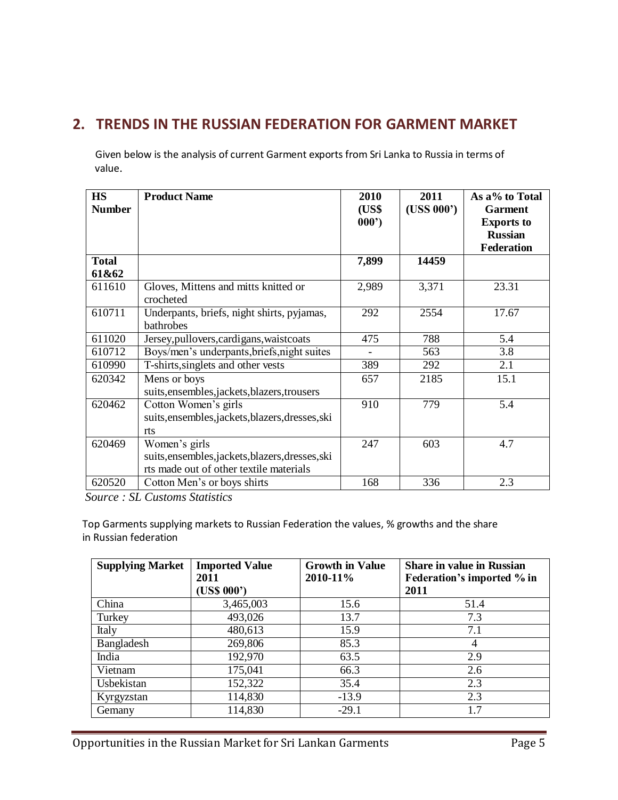# **2. TRENDS IN THE RUSSIAN FEDERATION FOR GARMENT MARKET**

Given below is the analysis of current Garment exports from Sri Lanka to Russia in terms of value.

| <b>HS</b><br><b>Number</b> | <b>Product Name</b>                                                                                          | 2010<br>(US\$ | 2011<br>(USS 000') | As a% to Total<br><b>Garment</b>    |
|----------------------------|--------------------------------------------------------------------------------------------------------------|---------------|--------------------|-------------------------------------|
|                            |                                                                                                              | 000'          |                    | <b>Exports to</b><br><b>Russian</b> |
|                            |                                                                                                              |               |                    | <b>Federation</b>                   |
| <b>Total</b><br>61&62      |                                                                                                              | 7,899         | 14459              |                                     |
| 611610                     | Gloves, Mittens and mitts knitted or<br>crocheted                                                            | 2,989         | 3,371              | 23.31                               |
| 610711                     | Underpants, briefs, night shirts, pyjamas,<br>bathrobes                                                      | 292           | 2554               | 17.67                               |
| 611020                     | Jersey, pullovers, cardigans, waistcoats                                                                     | 475           | 788                | 5.4                                 |
| 610712                     | Boys/men's underpants, briefs, night suites                                                                  |               | 563                | 3.8                                 |
| 610990                     | T-shirts, singlets and other vests                                                                           | 389           | 292                | 2.1                                 |
| 620342                     | Mens or boys<br>suits, ensembles, jackets, blazers, trousers                                                 | 657           | 2185               | 15.1                                |
| 620462                     | Cotton Women's girls<br>suits, ensembles, jackets, blazers, dresses, ski<br>rts                              | 910           | 779                | 5.4                                 |
| 620469                     | Women's girls<br>suits, ensembles, jackets, blazers, dresses, ski<br>rts made out of other textile materials | 247           | 603                | 4.7                                 |
| 620520                     | Cotton Men's or boys shirts                                                                                  | 168           | 336                | 2.3                                 |

 *Source : SL Customs Statistics*

 Top Garments supplying markets to Russian Federation the values, % growths and the share in Russian federation

| <b>Supplying Market</b> | <b>Imported Value</b><br>2011 | <b>Growth in Value</b><br>2010-11% | <b>Share in value in Russian</b><br>Federation's imported % in |
|-------------------------|-------------------------------|------------------------------------|----------------------------------------------------------------|
|                         | (US\$ 000')                   |                                    | 2011                                                           |
| China                   | 3,465,003                     | 15.6                               | 51.4                                                           |
| Turkey                  | 493,026                       | 13.7                               | 7.3                                                            |
| Italy                   | 480,613                       | 15.9                               | 7.1                                                            |
| Bangladesh              | 269,806                       | 85.3                               | $\overline{4}$                                                 |
| India                   | 192,970                       | 63.5                               | 2.9                                                            |
| Vietnam                 | 175,041                       | 66.3                               | 2.6                                                            |
| Usbekistan              | 152,322                       | 35.4                               | 2.3                                                            |
| Kyrgyzstan              | 114,830                       | $-13.9$                            | 2.3                                                            |
| Gemany                  | 114,830                       | $-29.1$                            | 1.7                                                            |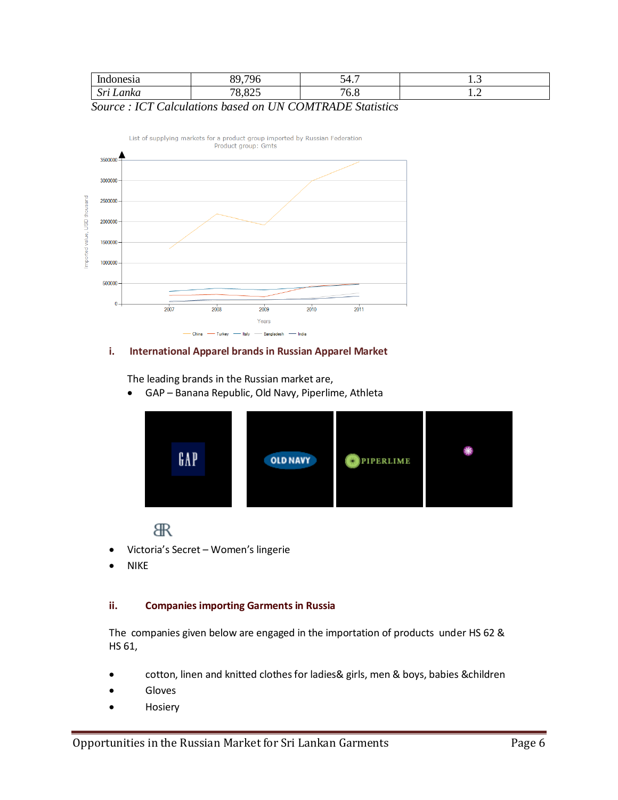| ones <sub>1</sub> a               | $\sim$<br>nΩ                   | - 1 -<br>{ }<br>י ד∙  | 1.J     |
|-----------------------------------|--------------------------------|-----------------------|---------|
| $\mathbf{a}$<br>∟anka<br>TAT<br>ມ | $.$ $02r$<br>¬റ<br>$\triangle$ | $\sim$<br>$'0.\delta$ | $\cdot$ |

# *Source : ICT Calculations based on UN COMTRADE Statistics*



#### **i. International Apparel brands in Russian Apparel Market**

The leading brands in the Russian market are,

GAP – Banana Republic, Old Navy, Piperlime, Athleta



**R** 

- Victoria's Secret Women's lingerie
- NIKE

#### **ii. Companies importing Garments in Russia**

The companies given below are engaged in the importation of products under HS 62 & HS 61,

- cotton, linen and knitted clothes for ladies& girls, men & boys, babies &children
- Gloves
- Hosiery